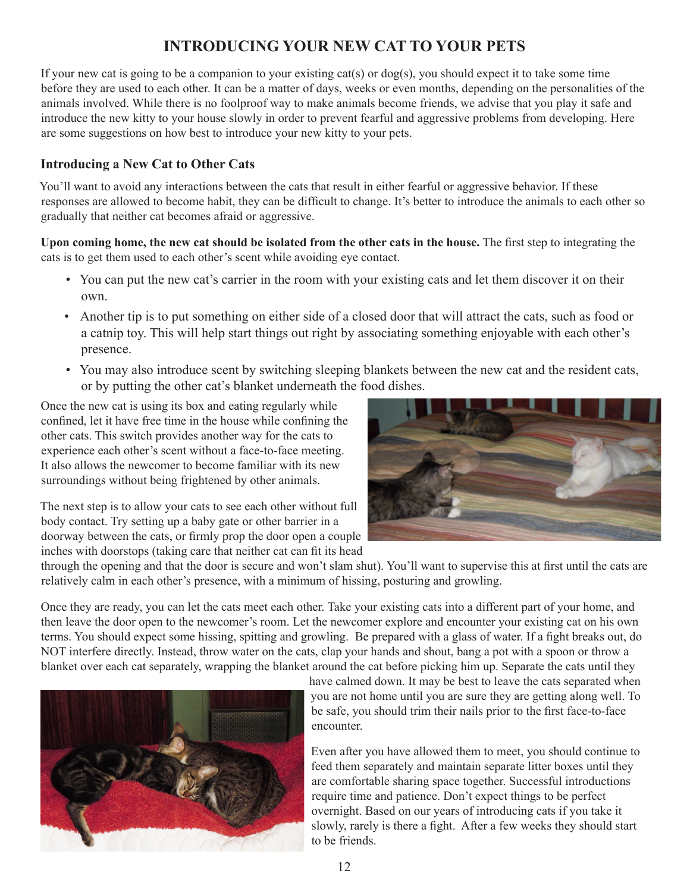## **INTRODUCING YOUR NEW CAT TO YOUR PETS**

If your new cat is going to be a companion to your existing cat(s) or dog(s), you should expect it to take some time before they are used to each other. It can be a matter of days, weeks or even months, depending on the personalities of the animals involved. While there is no foolproof way to make animals become friends, we advise that you play it safe and introduce the new kitty to your house slowly in order to prevent fearful and aggressive problems from developing. Here are some suggestions on how best to introduce your new kitty to your pets.

## **Introducing a New Cat to Other Cats**

You'll want to avoid any interactions between the cats that result in either fearful or aggressive behavior. If these responses are allowed to become habit, they can be difficult to change. It's better to introduce the animals to each other so gradually that neither cat becomes afraid or aggressive.

**Upon coming home, the new cat should be isolated from the other cats in the house.** The first step to integrating the cats is to get them used to each other's scent while avoiding eye contact.

- You can put the new cat's carrier in the room with your existing cats and let them discover it on their own.
- Another tip is to put something on either side of a closed door that will attract the cats, such as food or a catnip toy. This will help start things out right by associating something enjoyable with each other's presence.
- You may also introduce scent by switching sleeping blankets between the new cat and the resident cats, or by putting the other cat's blanket underneath the food dishes.

Once the new cat is using its box and eating regularly while confined, let it have free time in the house while confining the other cats. This switch provides another way for the cats to experience each other's scent without a face-to-face meeting. It also allows the newcomer to become familiar with its new surroundings without being frightened by other animals.

The next step is to allow your cats to see each other without full body contact. Try setting up a baby gate or other barrier in a doorway between the cats, or firmly prop the door open a couple inches with doorstops (taking care that neither cat can fit its head



through the opening and that the door is secure and won't slam shut). You'll want to supervise this at first until the cats are relatively calm in each other's presence, with a minimum of hissing, posturing and growling.

Once they are ready, you can let the cats meet each other. Take your existing cats into a different part of your home, and then leave the door open to the newcomer's room. Let the newcomer explore and encounter your existing cat on his own terms. You should expect some hissing, spitting and growling. Be prepared with a glass of water. If a fight breaks out, do NOT interfere directly. Instead, throw water on the cats, clap your hands and shout, bang a pot with a spoon or throw a blanket over each cat separately, wrapping the blanket around the cat before picking him up. Separate the cats until they



have calmed down. It may be best to leave the cats separated when you are not home until you are sure they are getting along well. To be safe, you should trim their nails prior to the first face-to-face encounter.

Even after you have allowed them to meet, you should continue to feed them separately and maintain separate litter boxes until they are comfortable sharing space together. Successful introductions require time and patience. Don't expect things to be perfect overnight. Based on our years of introducing cats if you take it slowly, rarely is there a fight. After a few weeks they should start to be friends.